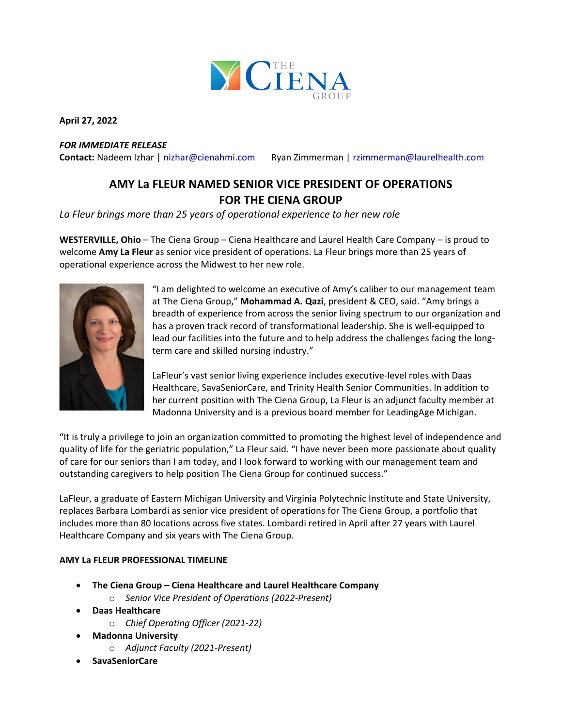

**April 27, 2022**

## *FOR IMMEDIATE RELEASE*

**Contact:** Nadeem Izhar | [nizhar@cienahmi.com](mailto:nizhar@cienahmi.com) Ryan Zimmerman | [rzimmerman@laurelhealth.com](mailto:rzimmerman@laurelhealth.com)

# **AMY La FLEUR NAMED SENIOR VICE PRESIDENT OF OPERATIONS FOR THE CIENA GROUP**

*La Fleur brings more than 25 years of operational experience to her new role*

**WESTERVILLE, Ohio** – The Ciena Group – Ciena Healthcare and Laurel Health Care Company – is proud to welcome **Amy La Fleur** as senior vice president of operations. La Fleur brings more than 25 years of operational experience across the Midwest to her new role.



"I am delighted to welcome an executive of Amy's caliber to our management team at The Ciena Group," **Mohammad A. Qazi**, president & CEO, said. "Amy brings a breadth of experience from across the senior living spectrum to our organization and has a proven track record of transformational leadership. She is well-equipped to lead our facilities into the future and to help address the challenges facing the longterm care and skilled nursing industry."

LaFleur's vast senior living experience includes executive-level roles with Daas Healthcare, SavaSeniorCare, and Trinity Health Senior Communities. In addition to her current position with The Ciena Group, La Fleur is an adjunct faculty member at Madonna University and is a previous board member for LeadingAge Michigan.

"It is truly a privilege to join an organization committed to promoting the highest level of independence and quality of life for the geriatric population," La Fleur said. "I have never been more passionate about quality of care for our seniors than I am today, and I look forward to working with our management team and outstanding caregivers to help position The Ciena Group for continued success."

LaFleur, a graduate of Eastern Michigan University and Virginia Polytechnic Institute and State University, replaces Barbara Lombardi as senior vice president of operations for The Ciena Group, a portfolio that includes more than 80 locations across five states. Lombardi retired in April after 27 years with Laurel Healthcare Company and six years with The Ciena Group.

## **AMY La FLEUR PROFESSIONAL TIMELINE**

- **The Ciena Group – Ciena Healthcare and Laurel Healthcare Company**
	- o *Senior Vice President of Operations (2022-Present)*
- **Daas Healthcare**
	- o *Chief Operating Officer (2021-22)*
- **Madonna University**
	- o *Adjunct Faculty (2021-Present)*
- **SavaSeniorCare**